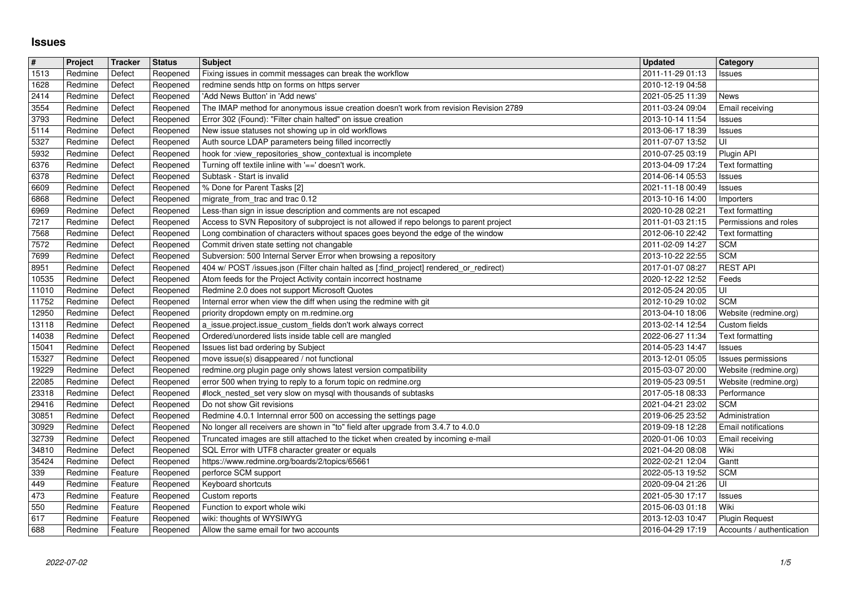## **Issues**

| $\#$           | Project            | Tracker            | <b>Status</b>        | <b>Subject</b>                                                                                                                                              | <b>Updated</b>                       | Category                                 |
|----------------|--------------------|--------------------|----------------------|-------------------------------------------------------------------------------------------------------------------------------------------------------------|--------------------------------------|------------------------------------------|
| 1513           | Redmine            | Defect             | Reopened             | Fixing issues in commit messages can break the workflow                                                                                                     | 2011-11-29 01:13                     | Issues                                   |
| 1628           | Redmine            | Defect             | Reopened             | redmine sends http on forms on https server                                                                                                                 | 2010-12-19 04:58                     |                                          |
| 2414<br>3554   | Redmine<br>Redmine | Defect<br>Defect   | Reopened<br>Reopened | 'Add News Button' in 'Add news'<br>The IMAP method for anonymous issue creation doesn't work from revision Revision 2789                                    | 2021-05-25 11:39<br>2011-03-24 09:04 | <b>News</b><br>Email receiving           |
| 3793           | Redmine            | Defect             | Reopened             | Error 302 (Found): "Filter chain halted" on issue creation                                                                                                  | 2013-10-14 11:54                     | Issues                                   |
| 5114           | Redmine            | Defect             | Reopened             | New issue statuses not showing up in old workflows                                                                                                          | 2013-06-17 18:39                     | Issues                                   |
| 5327           | Redmine            | Defect             | Reopened             | Auth source LDAP parameters being filled incorrectly                                                                                                        | 2011-07-07 13:52                     | UI                                       |
| 5932<br>6376   | Redmine<br>Redmine | Defect<br>Defect   | Reopened<br>Reopened | hook for :view_repositories_show_contextual is incomplete<br>Turning off textile inline with '==' doesn't work.                                             | 2010-07-25 03:19<br>2013-04-09 17:24 | Plugin API<br>Text formatting            |
| 6378           | Redmine            | Defect             | Reopened             | Subtask - Start is invalid                                                                                                                                  | 2014-06-14 05:53                     | Issues                                   |
| 6609           | Redmine            | Defect             | Reopened             | % Done for Parent Tasks [2]                                                                                                                                 | 2021-11-18 00:49                     | Issues                                   |
| 6868           | Redmine            | Defect             | Reopened             | migrate_from_trac and trac 0.12                                                                                                                             | 2013-10-16 14:00                     | Importers                                |
| 6969<br>7217   | Redmine<br>Redmine | Defect<br>Defect   | Reopened<br>Reopened | Less-than sign in issue description and comments are not escaped<br>Access to SVN Repository of subproject is not allowed if repo belongs to parent project | 2020-10-28 02:21<br>2011-01-03 21:15 | Text formatting<br>Permissions and roles |
| 7568           | Redmine            | Defect             | Reopened             | Long combination of characters without spaces goes beyond the edge of the window                                                                            | 2012-06-10 22:42                     | Text formatting                          |
| 7572           | Redmine            | Defect             | Reopened             | Commit driven state setting not changable                                                                                                                   | 2011-02-09 14:27                     | <b>SCM</b>                               |
| 7699           | Redmine            | Defect             | Reopened             | Subversion: 500 Internal Server Error when browsing a repository                                                                                            | 2013-10-22 22:55                     | <b>SCM</b>                               |
| 8951<br>10535  | Redmine<br>Redmine | Defect<br>Defect   | Reopened<br>Reopened | 404 w/ POST /issues.json (Filter chain halted as [:find_project] rendered_or_redirect)<br>Atom feeds for the Project Activity contain incorrect hostname    | 2017-01-07 08:27<br>2020-12-22 12:52 | <b>REST API</b><br>Feeds                 |
| 11010          | Redmine            | Defect             | Reopened             | Redmine 2.0 does not support Microsoft Quotes                                                                                                               | 2012-05-24 20:05                     | UI                                       |
| 11752          | Redmine            | Defect             | Reopened             | Internal error when view the diff when using the redmine with git                                                                                           | 2012-10-29 10:02                     | <b>SCM</b>                               |
| 12950          | Redmine            | Defect             | Reopened             | priority dropdown empty on m.redmine.org                                                                                                                    | 2013-04-10 18:06                     | Website (redmine.org)                    |
| 13118<br>14038 | Redmine<br>Redmine | Defect<br>Defect   | Reopened<br>Reopened | a_issue.project.issue_custom_fields don't work always correct<br>Ordered/unordered lists inside table cell are mangled                                      | 2013-02-14 12:54<br>2022-06-27 11:34 | Custom fields<br>Text formatting         |
| 15041          | Redmine            | Defect             | Reopened             | Issues list bad ordering by Subject                                                                                                                         | 2014-05-23 14:47                     | Issues                                   |
| 15327          | Redmine            | Defect             | Reopened             | move issue(s) disappeared / not functional                                                                                                                  | 2013-12-01 05:05                     | Issues permissions                       |
| 19229          | Redmine            | Defect             | Reopened             | redmine.org plugin page only shows latest version compatibility                                                                                             | 2015-03-07 20:00                     | Website (redmine.org)                    |
| 22085          | Redmine            | Defect             | Reopened             | error 500 when trying to reply to a forum topic on redmine.org                                                                                              | 2019-05-23 09:51                     | Website (redmine.org)                    |
| 23318<br>29416 | Redmine<br>Redmine | Defect<br>Defect   | Reopened<br>Reopened | #lock_nested_set very slow on mysql with thousands of subtasks<br>Do not show Git revisions                                                                 | 2017-05-18 08:33<br>2021-04-21 23:02 | Performance<br><b>SCM</b>                |
| 30851          | Redmine            | Defect             | Reopened             | Redmine 4.0.1 Internnal error 500 on accessing the settings page                                                                                            | 2019-06-25 23:52                     | Administration                           |
| 30929          | Redmine            | Defect             | Reopened             | No longer all receivers are shown in "to" field after upgrade from 3.4.7 to 4.0.0                                                                           | 2019-09-18 12:28                     | Email notifications                      |
| 32739          | Redmine<br>Redmine | Defect<br>Defect   | Reopened             | Truncated images are still attached to the ticket when created by incoming e-mail<br>SQL Error with UTF8 character greater or equals                        | 2020-01-06 10:03<br>2021-04-20 08:08 | Email receiving<br>Wiki                  |
| 34810<br>35424 | Redmine            | Defect             | Reopened<br>Reopened | https://www.redmine.org/boards/2/topics/65661                                                                                                               | 2022-02-21 12:04                     | Gantt                                    |
| 339            | Redmine            | Feature            | Reopened             | perforce SCM support                                                                                                                                        | 2022-05-13 19:52                     | <b>SCM</b>                               |
| 449            | Redmine            | Feature            | Reopened             | Keyboard shortcuts                                                                                                                                          | 2020-09-04 21:26                     | UI                                       |
| 473<br>550     | Redmine<br>Redmine | Feature<br>Feature | Reopened             | Custom reports<br>Reopened   Function to export whole wiki                                                                                                  | 2021-05-30 17:17<br>2015-06-03 01:18 | Issues<br>Wiki                           |
| 617            | Redmine            | Feature            | Reopened             | wiki: thoughts of WYSIWYG                                                                                                                                   | 2013-12-03 10:47                     | <b>Plugin Request</b>                    |
| 688            |                    | Feature            |                      | Allow the same email for two accounts                                                                                                                       | 2016-04-29 17:19                     | Accounts / authentication                |
|                |                    |                    |                      |                                                                                                                                                             |                                      |                                          |
|                |                    |                    |                      |                                                                                                                                                             |                                      |                                          |
|                |                    |                    |                      |                                                                                                                                                             |                                      |                                          |
|                |                    |                    |                      |                                                                                                                                                             |                                      |                                          |
|                |                    |                    |                      |                                                                                                                                                             |                                      |                                          |
|                |                    |                    |                      |                                                                                                                                                             |                                      |                                          |
|                |                    |                    |                      |                                                                                                                                                             |                                      |                                          |
|                |                    |                    |                      |                                                                                                                                                             |                                      |                                          |
|                |                    |                    |                      |                                                                                                                                                             |                                      |                                          |
|                |                    |                    |                      |                                                                                                                                                             |                                      |                                          |
|                |                    |                    |                      |                                                                                                                                                             |                                      |                                          |
|                |                    |                    |                      |                                                                                                                                                             |                                      |                                          |
|                |                    |                    |                      |                                                                                                                                                             |                                      |                                          |
|                |                    |                    |                      |                                                                                                                                                             |                                      |                                          |
|                |                    |                    |                      |                                                                                                                                                             |                                      |                                          |
|                |                    |                    |                      |                                                                                                                                                             |                                      |                                          |
|                |                    |                    |                      |                                                                                                                                                             |                                      |                                          |
|                |                    |                    |                      |                                                                                                                                                             |                                      |                                          |
|                |                    |                    |                      |                                                                                                                                                             |                                      |                                          |
|                |                    |                    |                      |                                                                                                                                                             |                                      |                                          |
|                |                    |                    |                      |                                                                                                                                                             |                                      |                                          |
|                |                    |                    |                      |                                                                                                                                                             |                                      |                                          |
|                |                    |                    |                      |                                                                                                                                                             |                                      |                                          |
|                |                    |                    |                      |                                                                                                                                                             |                                      |                                          |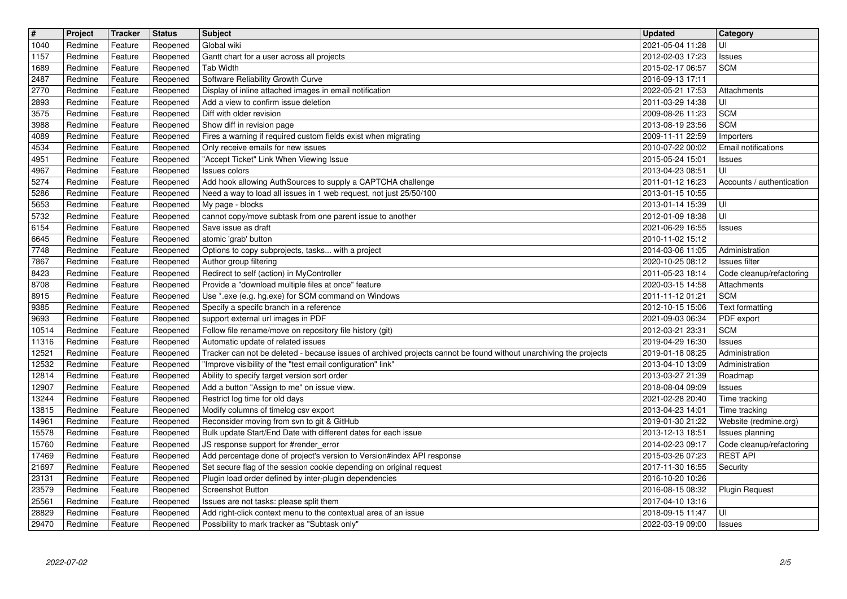| $\overline{\mathbf{H}}$ | Project            | Tracker            | <b>Status</b>        | <b>Subject</b>                                                                                                    | <b>Updated</b>                       | <b>Category</b>                             |
|-------------------------|--------------------|--------------------|----------------------|-------------------------------------------------------------------------------------------------------------------|--------------------------------------|---------------------------------------------|
| 1040                    | Redmine            | Feature            | Reopened             | Global wiki                                                                                                       | 2021-05-04 11:28                     | UI                                          |
| 1157<br>1689            | Redmine<br>Redmine | Feature<br>Feature | Reopened             | Gantt chart for a user across all projects<br><b>Tab Width</b>                                                    | 2012-02-03 17:23<br>2015-02-17 06:57 | Issues<br><b>SCM</b>                        |
| 2487                    | Redmine            | Feature            | Reopened<br>Reopened | Software Reliability Growth Curve                                                                                 | 2016-09-13 17:11                     |                                             |
| 2770                    | Redmine            | Feature            | Reopened             | Display of inline attached images in email notification                                                           | 2022-05-21 17:53                     | Attachments                                 |
| 2893                    | Redmine            | Feature            | Reopened             | Add a view to confirm issue deletion                                                                              | 2011-03-29 14:38                     | luı                                         |
| 3575                    | Redmine            | Feature            | Reopened             | Diff with older revision                                                                                          | 2009-08-26 11:23                     | <b>SCM</b>                                  |
| 3988<br>4089            | Redmine<br>Redmine | Feature<br>Feature | Reopened<br>Reopened | Show diff in revision page<br>Fires a warning if required custom fields exist when migrating                      | 2013-08-19 23:56<br>2009-11-11 22:59 | <b>SCM</b><br>Importers                     |
| 4534                    | Redmine            | Feature            | Reopened             | Only receive emails for new issues                                                                                | 2010-07-22 00:02                     | Email notifications                         |
| 4951                    | Redmine            | Feature            | Reopened             | "Accept Ticket" Link When Viewing Issue                                                                           | 2015-05-24 15:01                     | Issues                                      |
| 4967<br>5274            | Redmine<br>Redmine | Feature<br>Feature | Reopened<br>Reopened | Issues colors<br>Add hook allowing AuthSources to supply a CAPTCHA challenge                                      | 2013-04-23 08:51<br>2011-01-12 16:23 | luı<br>Accounts / authentication            |
| 5286                    | Redmine            | Feature            | Reopened             | Need a way to load all issues in 1 web request, not just 25/50/100                                                | 2013-01-15 10:55                     |                                             |
| 5653                    | Redmine            | Feature            | Reopened             | My page - blocks                                                                                                  | 2013-01-14 15:39                     | l UI                                        |
| 5732                    | Redmine            | Feature            | Reopened             | cannot copy/move subtask from one parent issue to another                                                         | 2012-01-09 18:38                     | UI                                          |
| 6154<br>6645            | Redmine<br>Redmine | Feature<br>Feature | Reopened<br>Reopened | Save issue as draft<br>atomic 'grab' button                                                                       | 2021-06-29 16:55<br>2010-11-02 15:12 | <b>Issues</b>                               |
| 7748                    | Redmine            | Feature            | Reopened             | Options to copy subprojects, tasks with a project                                                                 | 2014-03-06 11:05                     | Administration                              |
| 7867                    | Redmine            | Feature            | Reopened             | Author group filtering                                                                                            | 2020-10-25 08:12                     | <b>Issues filter</b>                        |
| 8423<br>8708            | Redmine<br>Redmine | Feature<br>Feature | Reopened<br>Reopened | Redirect to self (action) in MyController<br>Provide a "download multiple files at once" feature                  | 2011-05-23 18:14<br>2020-03-15 14:58 | Code cleanup/refactoring<br>Attachments     |
| 8915                    | Redmine            | Feature            | Reopened             | Use *.exe (e.g. hg.exe) for SCM command on Windows                                                                | 2011-11-12 01:21                     | <b>SCM</b>                                  |
| 9385                    | Redmine            | Feature            | Reopened             | Specify a specifc branch in a reference                                                                           | 2012-10-15 15:06                     | Text formatting                             |
| 9693                    | Redmine            | Feature            | Reopened             | support external url images in PDF                                                                                | 2021-09-03 06:34                     | PDF export                                  |
| 10514<br>11316          | Redmine<br>Redmine | Feature<br>Feature | Reopened<br>Reopened | Follow file rename/move on repository file history (git)<br>Automatic update of related issues                    | 2012-03-21 23:31<br>2019-04-29 16:30 | <b>SCM</b><br>Issues                        |
| 12521                   | Redmine            | Feature            | Reopened             | Tracker can not be deleted - because issues of archived projects cannot be found without unarchiving the projects | 2019-01-18 08:25                     | Administration                              |
| 12532                   | Redmine            | Feature            | Reopened             | "Improve visibility of the "test email configuration" link"                                                       | 2013-04-10 13:09                     | Administration                              |
| 12814<br>12907          | Redmine<br>Redmine | Feature<br>Feature | Reopened             | Ability to specify target version sort order<br>Add a button "Assign to me" on issue view.                        | 2013-03-27 21:39                     | Roadmap                                     |
| 13244                   | Redmine            | Feature            | Reopened<br>Reopened | Restrict log time for old days                                                                                    | 2018-08-04 09:09<br>2021-02-28 20:40 | Issues<br>Time tracking                     |
| 13815                   | Redmine            | Feature            | Reopened             | Modify columns of timelog csv export                                                                              | 2013-04-23 14:01                     | Time tracking                               |
| 14961                   | Redmine            | Feature            | Reopened             | Reconsider moving from svn to git & GitHub                                                                        | 2019-01-30 21:22                     | Website (redmine.org)                       |
| 15578<br>15760          | Redmine<br>Redmine | Feature<br>Feature | Reopened<br>Reopened | Bulk update Start/End Date with different dates for each issue<br>JS response support for #render_error           | 2013-12-13 18:51<br>2014-02-23 09:17 | Issues planning<br>Code cleanup/refactoring |
| 17469                   | Redmine            | Feature            | Reopened             | Add percentage done of project's version to Version#index API response                                            | 2015-03-26 07:23                     | <b>REST API</b>                             |
| 21697                   | Redmine            | Feature            | Reopened             | Set secure flag of the session cookie depending on original request                                               | 2017-11-30 16:55                     | Security                                    |
| 23131<br>23579          | Redmine            | Feature            | Reopened             | Plugin load order defined by inter-plugin dependencies<br>Screenshot Button                                       | 2016-10-20 10:26                     |                                             |
| 25561                   | Redmine<br>Redmine | Feature<br>Feature | Reopened<br>Reopened | Issues are not tasks: please split them                                                                           | 2016-08-15 08:32<br>2017-04-10 13:16 | <b>Plugin Request</b>                       |
| 28829                   | Redmine            | Feature            | Reopened             | Add right-click context menu to the contextual area of an issue                                                   | 2018-09-15 11:47                     | l UI                                        |
| 29470                   | Redmine            | Feature            | Reopened             | Possibility to mark tracker as "Subtask only"                                                                     | 2022-03-19 09:00                     | Issues                                      |
|                         |                    |                    |                      |                                                                                                                   |                                      |                                             |
|                         |                    |                    |                      |                                                                                                                   |                                      |                                             |
|                         |                    |                    |                      |                                                                                                                   |                                      |                                             |
|                         |                    |                    |                      |                                                                                                                   |                                      |                                             |
|                         |                    |                    |                      |                                                                                                                   |                                      |                                             |
|                         |                    |                    |                      |                                                                                                                   |                                      |                                             |
|                         |                    |                    |                      |                                                                                                                   |                                      |                                             |
|                         |                    |                    |                      |                                                                                                                   |                                      |                                             |
|                         |                    |                    |                      |                                                                                                                   |                                      |                                             |
|                         |                    |                    |                      |                                                                                                                   |                                      |                                             |
|                         |                    |                    |                      |                                                                                                                   |                                      |                                             |
|                         |                    |                    |                      |                                                                                                                   |                                      |                                             |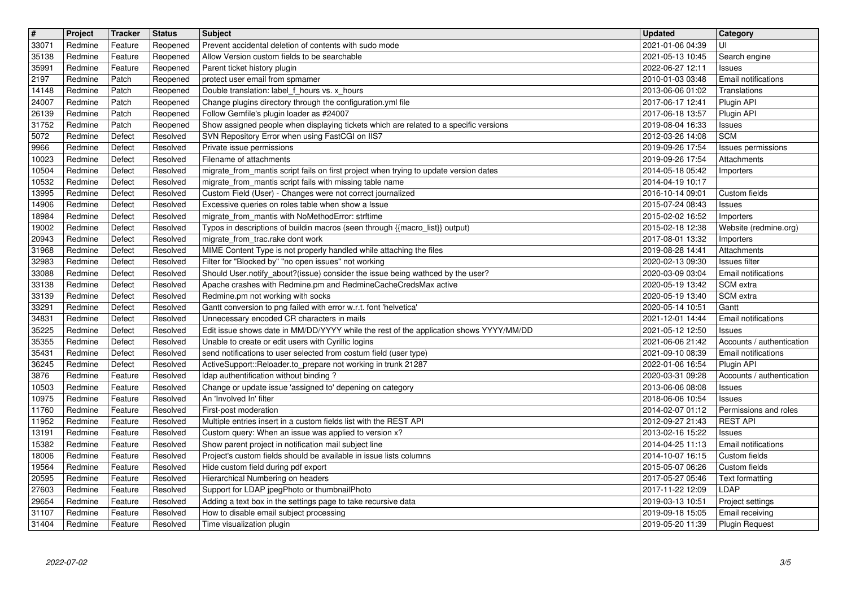| $\boxed{\texttt{#}}$<br>33071 | Project<br>Redmine | Tracker<br>Feature | <b>Status</b><br>Reopened | <b>Subject</b><br>Prevent accidental deletion of contents with sudo mode                                                                 | <b>Updated</b><br>2021-01-06 04:39   | <b>Category</b><br>UI                            |
|-------------------------------|--------------------|--------------------|---------------------------|------------------------------------------------------------------------------------------------------------------------------------------|--------------------------------------|--------------------------------------------------|
| 35138                         | Redmine            | Feature            | Reopened                  | Allow Version custom fields to be searchable                                                                                             | 2021-05-13 10:45                     | Search engine                                    |
| 35991<br>2197                 | Redmine<br>Redmine | Feature<br>Patch   | Reopened<br>Reopened      | Parent ticket history plugin<br>protect user email from spmamer                                                                          | 2022-06-27 12:11<br>2010-01-03 03:48 | Issues<br>Email notifications                    |
| 14148                         | Redmine            | Patch              | Reopened                  | Double translation: label_f_hours vs. x_hours                                                                                            | 2013-06-06 01:02<br>2017-06-17 12:41 | Translations                                     |
| 24007<br>26139                | Redmine<br>Redmine | Patch<br>Patch     | Reopened<br>Reopened      | Change plugins directory through the configuration.yml file<br>Follow Gemfile's plugin loader as #24007                                  | 2017-06-18 13:57                     | Plugin API<br>Plugin API                         |
| 31752<br>5072                 | Redmine<br>Redmine | Patch<br>Defect    | Reopened<br>Resolved      | Show assigned people when displaying tickets which are related to a specific versions<br>SVN Repository Error when using FastCGI on IIS7 | 2019-08-04 16:33<br>2012-03-26 14:08 | Issues<br><b>SCM</b>                             |
| 9966<br>10023                 | Redmine<br>Redmine | Defect<br>Defect   | Resolved<br>Resolved      | Private issue permissions<br>Filename of attachments                                                                                     | 2019-09-26 17:54<br>2019-09-26 17:54 | <b>Issues permissions</b><br>Attachments         |
| 10504                         | Redmine            | Defect             | Resolved                  | migrate_from_mantis script fails on first project when trying to update version dates                                                    | 2014-05-18 05:42                     | Importers                                        |
| 10532<br>13995                | Redmine<br>Redmine | Defect<br>Defect   | Resolved<br>Resolved      | migrate_from_mantis script fails with missing table name<br>Custom Field (User) - Changes were not correct journalized                   | 2014-04-19 10:17<br>2016-10-14 09:01 | Custom fields                                    |
| 14906<br>18984                | Redmine<br>Redmine | Defect<br>Defect   | Resolved<br>Resolved      | Excessive queries on roles table when show a Issue<br>migrate_from_mantis with NoMethodError: strftime                                   | 2015-07-24 08:43<br>2015-02-02 16:52 | <b>Issues</b><br>Importers                       |
| 19002                         | Redmine            | Defect             | Resolved                  | Typos in descriptions of buildin macros (seen through {{macro_list}} output)                                                             | 2015-02-18 12:38                     | Website (redmine.org)                            |
| 20943<br>31968                | Redmine<br>Redmine | Defect<br>Defect   | Resolved<br>Resolved      | migrate_from_trac.rake dont work<br>MIME Content Type is not properly handled while attaching the files                                  | 2017-08-01 13:32<br>2019-08-28 14:41 | Importers<br>Attachments                         |
| 32983<br>33088                | Redmine<br>Redmine | Defect<br>Defect   | Resolved<br>Resolved      | Filter for "Blocked by" "no open issues" not working<br>Should User.notify_about?(issue) consider the issue being wathced by the user?   | 2020-02-13 09:30<br>2020-03-09 03:04 | Issues filter<br>Email notifications             |
| 33138<br>33139                | Redmine<br>Redmine | Defect<br>Defect   | Resolved<br>Resolved      | Apache crashes with Redmine.pm and RedmineCacheCredsMax active<br>Redmine.pm not working with socks                                      | 2020-05-19 13:42<br>2020-05-19 13:40 | SCM extra<br>SCM extra                           |
| 33291                         | Redmine            | Defect             | Resolved                  | Gantt conversion to png failed with error w.r.t. font 'helvetica'                                                                        | 2020-05-14 10:51                     | Gantt                                            |
| 34831<br>35225                | Redmine<br>Redmine | Defect<br>Defect   | Resolved<br>Resolved      | Unnecessary encoded CR characters in mails<br>Edit issue shows date in MM/DD/YYYY while the rest of the application shows YYYY/MM/DD     | 2021-12-01 14:44<br>2021-05-12 12:50 | Email notifications<br>Issues                    |
| 35355<br>35431                | Redmine<br>Redmine | Defect<br>Defect   | Resolved<br>Resolved      | Unable to create or edit users with Cyrillic logins<br>send notifications to user selected from costum field (user type)                 | 2021-06-06 21:42<br>2021-09-10 08:39 | Accounts / authentication<br>Email notifications |
| 36245                         | Redmine            | Defect             | Resolved                  | ActiveSupport::Reloader.to_prepare not working in trunk 21287                                                                            | 2022-01-06 16:54                     | Plugin API                                       |
| 3876<br>10503                 | Redmine<br>Redmine | Feature<br>Feature | Resolved<br>Resolved      | Idap authentification without binding?<br>Change or update issue 'assigned to' depening on category                                      | 2020-03-31 09:28<br>2013-06-06 08:08 | Accounts / authentication<br>Issues              |
| 10975<br>11760                | Redmine<br>Redmine | Feature<br>Feature | Resolved<br>Resolved      | An 'Involved In' filter<br>First-post moderation                                                                                         | 2018-06-06 10:54<br>2014-02-07 01:12 | Issues<br>Permissions and roles                  |
| 11952<br>13191                | Redmine<br>Redmine | Feature<br>Feature | Resolved<br>Resolved      | Multiple entries insert in a custom fields list with the REST API<br>Custom query: When an issue was applied to version x?               | 2012-09-27 21:43<br>2013-02-16 15:22 | <b>REST API</b><br>Issues                        |
| 15382                         | Redmine            | Feature            | Resolved                  | Show parent project in notification mail subject line                                                                                    | 2014-04-25 11:13                     | Email notifications                              |
| 18006<br>19564                | Redmine<br>Redmine | Feature<br>Feature | Resolved<br>Resolved      | Project's custom fields should be available in issue lists columns<br>Hide custom field during pdf export                                | 2014-10-07 16:15<br>2015-05-07 06:26 | Custom fields<br>Custom fields                   |
| 20595<br>27603                | Redmine<br>Redmine | Feature<br>Feature | Resolved<br>Resolved      | Hierarchical Numbering on headers<br>Support for LDAP jpegPhoto or thumbnailPhoto                                                        | 2017-05-27 05:46<br>2017-11-22 12:09 | Text formatting<br>LDAP                          |
| 29654                         | Redmine            | Feature            | Resolved                  | Adding a text box in the settings page to take recursive data                                                                            | 2019-03-13 10:51                     | Project settings                                 |
| 31107<br>31404                | Redmine<br>Redmine | Feature<br>Feature | Resolved<br>Resolved      | How to disable email subject processing<br>Time visualization plugin                                                                     | 2019-09-18 15:05<br>2019-05-20 11:39 | Email receiving<br><b>Plugin Request</b>         |
|                               |                    |                    |                           |                                                                                                                                          |                                      |                                                  |
|                               |                    |                    |                           |                                                                                                                                          |                                      |                                                  |
|                               |                    |                    |                           |                                                                                                                                          |                                      |                                                  |
|                               |                    |                    |                           |                                                                                                                                          |                                      |                                                  |
|                               |                    |                    |                           |                                                                                                                                          |                                      |                                                  |
|                               |                    |                    |                           |                                                                                                                                          |                                      |                                                  |
|                               |                    |                    |                           |                                                                                                                                          |                                      |                                                  |
|                               |                    |                    |                           |                                                                                                                                          |                                      |                                                  |
|                               |                    |                    |                           |                                                                                                                                          |                                      |                                                  |
|                               |                    |                    |                           |                                                                                                                                          |                                      |                                                  |
|                               |                    |                    |                           |                                                                                                                                          |                                      |                                                  |
|                               |                    |                    |                           |                                                                                                                                          |                                      |                                                  |
|                               |                    |                    |                           |                                                                                                                                          |                                      |                                                  |
|                               |                    |                    |                           |                                                                                                                                          |                                      |                                                  |
|                               |                    |                    |                           |                                                                                                                                          |                                      |                                                  |
|                               |                    |                    |                           |                                                                                                                                          |                                      |                                                  |
|                               |                    |                    |                           |                                                                                                                                          |                                      |                                                  |
|                               |                    |                    |                           |                                                                                                                                          |                                      |                                                  |
|                               |                    |                    |                           |                                                                                                                                          |                                      |                                                  |
|                               |                    |                    |                           |                                                                                                                                          |                                      |                                                  |
|                               |                    |                    |                           |                                                                                                                                          |                                      |                                                  |
|                               |                    |                    |                           |                                                                                                                                          |                                      |                                                  |
|                               |                    |                    |                           |                                                                                                                                          |                                      |                                                  |
|                               |                    |                    |                           |                                                                                                                                          |                                      |                                                  |
|                               |                    |                    |                           |                                                                                                                                          |                                      |                                                  |
|                               |                    |                    |                           |                                                                                                                                          |                                      |                                                  |
|                               |                    |                    |                           |                                                                                                                                          |                                      |                                                  |
|                               |                    |                    |                           |                                                                                                                                          |                                      |                                                  |
|                               |                    |                    |                           |                                                                                                                                          |                                      |                                                  |
|                               |                    |                    |                           |                                                                                                                                          |                                      |                                                  |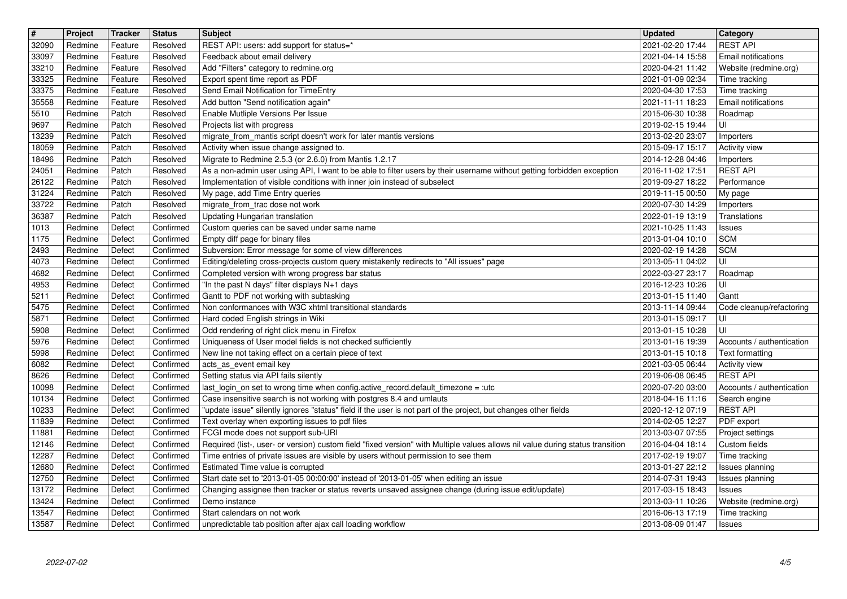| $\boxed{\texttt{#}}$ | Project            | Tracker            | <b>Status</b>          | <b>Subject</b>                                                                                                                                                       | <b>Updated</b>                                         | Category                                      |
|----------------------|--------------------|--------------------|------------------------|----------------------------------------------------------------------------------------------------------------------------------------------------------------------|--------------------------------------------------------|-----------------------------------------------|
| 32090<br>33097       | Redmine<br>Redmine | Feature<br>Feature | Resolved<br>Resolved   | REST API: users: add support for status=*<br>Feedback about email delivery                                                                                           | 2021-02-20 17:44<br>2021-04-14 15:58                   | <b>REST API</b><br><b>Email notifications</b> |
| 33210                | Redmine            | Feature            | Resolved               | Add "Filters" category to redmine.org                                                                                                                                | 2020-04-21 11:42                                       | Website (redmine.org)                         |
| 33325                | Redmine            | Feature            | Resolved               | Export spent time report as PDF                                                                                                                                      | 2021-01-09 02:34                                       | Time tracking                                 |
| 33375                | Redmine            | Feature            | Resolved               | Send Email Notification for TimeEntry                                                                                                                                | 2020-04-30 17:53                                       | Time tracking                                 |
| 35558<br>5510        | Redmine<br>Redmine | Feature<br>Patch   | Resolved<br>Resolved   | Add button "Send notification again"<br>Enable Mutliple Versions Per Issue                                                                                           | 2021-11-11 18:23<br>2015-06-30 10:38                   | <b>Email notifications</b><br>Roadmap         |
| 9697                 | Redmine            | Patch              | Resolved               | Projects list with progress                                                                                                                                          | 2019-02-15 19:44                                       | UI                                            |
| 13239                | Redmine            | Patch              | Resolved               | migrate_from_mantis script doesn't work for later mantis versions                                                                                                    | 2013-02-20 23:07                                       | Importers                                     |
| 18059<br>18496       | Redmine<br>Redmine | Patch<br>Patch     | Resolved<br>Resolved   | Activity when issue change assigned to.<br>Migrate to Redmine 2.5.3 (or 2.6.0) from Mantis 1.2.17                                                                    | 2015-09-17 15:17<br>2014-12-28 04:46                   | <b>Activity view</b><br>Importers             |
| 24051                | Redmine            | Patch              | Resolved               | As a non-admin user using API, I want to be able to filter users by their username without getting forbidden exception                                               | 2016-11-02 17:51                                       | <b>REST API</b>                               |
| 26122                | Redmine            | Patch              | Resolved               | Implementation of visible conditions with inner join instead of subselect                                                                                            | 2019-09-27 18:22                                       | Performance                                   |
| 31224<br>33722       | Redmine<br>Redmine | Patch<br>Patch     | Resolved<br>Resolved   | My page, add Time Entry queries<br>migrate_from_trac dose not work                                                                                                   | 2019-11-15 00:50<br>2020-07-30 14:29                   | My page<br>Importers                          |
| 36387                | Redmine            | Patch              | Resolved               | Updating Hungarian translation                                                                                                                                       | 2022-01-19 13:19                                       | Translations                                  |
| 1013                 | Redmine            | Defect             | Confirmed              | Custom queries can be saved under same name                                                                                                                          | 2021-10-25 11:43                                       | <b>Issues</b>                                 |
| 1175                 | Redmine            | Defect             | Confirmed<br>Confirmed | Empty diff page for binary files<br>Subversion: Error message for some of view differences                                                                           | 2013-01-04 10:10                                       | <b>SCM</b><br>SCM                             |
| 2493<br>4073         | Redmine<br>Redmine | Defect<br>Defect   | Confirmed              | Editing/deleting cross-projects custom query mistakenly redirects to "All issues" page                                                                               | 2020-02-19 14:28<br>2013-05-11 04:02                   | UI                                            |
| 4682                 | Redmine            | Defect             | Confirmed              | Completed version with wrong progress bar status                                                                                                                     | 2022-03-27 23:17                                       | Roadmap                                       |
| 4953                 | Redmine            | Defect             | Confirmed              | "In the past N days" filter displays N+1 days                                                                                                                        | 2016-12-23 10:26                                       | UI                                            |
| 5211<br>5475         | Redmine<br>Redmine | Defect<br>Defect   | Confirmed<br>Confirmed | Gantt to PDF not working with subtasking<br>Non conformances with W3C xhtml transitional standards                                                                   | 2013-01-15 11:40<br>2013-11-14 09:44                   | Gantt<br>Code cleanup/refactoring             |
| 5871                 | Redmine            | Defect             | Confirmed              | Hard coded English strings in Wiki                                                                                                                                   | 2013-01-15 09:17                                       | UI                                            |
| 5908                 | Redmine            | Defect             | Confirmed              | Odd rendering of right click menu in Firefox                                                                                                                         | 2013-01-15 10:28                                       | UI                                            |
| 5976<br>5998         | Redmine<br>Redmine | Defect<br>Defect   | Confirmed<br>Confirmed | Uniqueness of User model fields is not checked sufficiently<br>New line not taking effect on a certain piece of text                                                 | 2013-01-16 19:39<br>2013-01-15 10:18                   | Accounts / authentication<br>Text formatting  |
| 6082                 | Redmine            | Defect             | Confirmed              | acts_as_event email key                                                                                                                                              | 2021-03-05 06:44                                       | <b>Activity view</b>                          |
| 8626                 | Redmine            | Defect             | Confirmed              | Setting status via API fails silently                                                                                                                                | 2019-06-08 06:45                                       | <b>REST API</b>                               |
| 10098<br>10134       | Redmine<br>Redmine | Defect<br>Defect   | Confirmed<br>Confirmed | last_login_on set to wrong time when config.active_record.default_timezone = :utc<br>Case insensitive search is not working with postgres 8.4 and umlauts            | 2020-07-20 03:00<br>2018-04-16 11:16                   | Accounts / authentication<br>Search engine    |
| 10233                | Redmine            | Defect             | Confirmed              | "update issue" silently ignores "status" field if the user is not part of the project, but changes other fields                                                      | 2020-12-12 07:19                                       | <b>REST API</b>                               |
| 11839                | Redmine            | Defect             | Confirmed              | Text overlay when exporting issues to pdf files                                                                                                                      | 2014-02-05 12:27                                       | PDF export                                    |
| 11881<br>12146       | Redmine<br>Redmine | Defect<br>Defect   | Confirmed<br>Confirmed | FCGI mode does not support sub-URI<br>Required (list-, user- or version) custom field "fixed version" with Multiple values allows nil value during status transition | 2013-03-07 07:55<br>2016-04-04 18:14                   | Project settings<br>Custom fields             |
| 12287                | Redmine            | Defect             | Confirmed              | Time entries of private issues are visible by users without permission to see them                                                                                   | 2017-02-19 19:07                                       | Time tracking                                 |
| 12680<br>12750       | Redmine<br>Redmine | Defect<br>Defect   | Confirmed<br>Confirmed | Estimated Time value is corrupted<br>Start date set to '2013-01-05 00:00:00' instead of '2013-01-05' when editing an issue                                           | 2013-01-27 22:12<br>2014-07-31 19:43   Issues planning | Issues planning                               |
| 13172                | Redmine            | Defect             | Confirmed              | Changing assignee then tracker or status reverts unsaved assignee change (during issue edit/update)                                                                  | 2017-03-15 18:43                                       | <b>Issues</b>                                 |
| 13424                | Redmine            | Defect             | Confirmed              | Demo instance                                                                                                                                                        | 2013-03-11 10:26                                       | Website (redmine.org)                         |
| 13547<br>13587       | Redmine<br>Redmine | Defect<br>Defect   | Confirmed<br>Confirmed | Start calendars on not work<br>unpredictable tab position after ajax call loading workflow                                                                           | 2016-06-13 17:19<br>2013-08-09 01:47                   | Time tracking<br><b>Issues</b>                |
|                      |                    |                    |                        |                                                                                                                                                                      |                                                        |                                               |
|                      |                    |                    |                        |                                                                                                                                                                      |                                                        |                                               |
|                      |                    |                    |                        |                                                                                                                                                                      |                                                        |                                               |
|                      |                    |                    |                        |                                                                                                                                                                      |                                                        |                                               |
|                      |                    |                    |                        |                                                                                                                                                                      |                                                        |                                               |
|                      |                    |                    |                        |                                                                                                                                                                      |                                                        |                                               |
|                      |                    |                    |                        |                                                                                                                                                                      |                                                        |                                               |
|                      |                    |                    |                        |                                                                                                                                                                      |                                                        |                                               |
|                      |                    |                    |                        |                                                                                                                                                                      |                                                        |                                               |
|                      |                    |                    |                        |                                                                                                                                                                      |                                                        |                                               |
|                      |                    |                    |                        |                                                                                                                                                                      |                                                        |                                               |
|                      |                    |                    |                        |                                                                                                                                                                      |                                                        |                                               |
|                      |                    |                    |                        |                                                                                                                                                                      |                                                        |                                               |
|                      |                    |                    |                        |                                                                                                                                                                      |                                                        |                                               |
|                      |                    |                    |                        |                                                                                                                                                                      |                                                        |                                               |
|                      |                    |                    |                        |                                                                                                                                                                      |                                                        |                                               |
|                      |                    |                    |                        |                                                                                                                                                                      |                                                        |                                               |
|                      |                    |                    |                        |                                                                                                                                                                      |                                                        |                                               |
|                      |                    |                    |                        |                                                                                                                                                                      |                                                        |                                               |
|                      |                    |                    |                        |                                                                                                                                                                      |                                                        |                                               |
|                      |                    |                    |                        |                                                                                                                                                                      |                                                        |                                               |
|                      |                    |                    |                        |                                                                                                                                                                      |                                                        |                                               |
|                      |                    |                    |                        |                                                                                                                                                                      |                                                        |                                               |
|                      |                    |                    |                        |                                                                                                                                                                      |                                                        |                                               |
|                      |                    |                    |                        |                                                                                                                                                                      |                                                        |                                               |
|                      |                    |                    |                        |                                                                                                                                                                      |                                                        |                                               |
|                      |                    |                    |                        |                                                                                                                                                                      |                                                        |                                               |
|                      |                    |                    |                        |                                                                                                                                                                      |                                                        |                                               |
|                      |                    |                    |                        |                                                                                                                                                                      |                                                        |                                               |